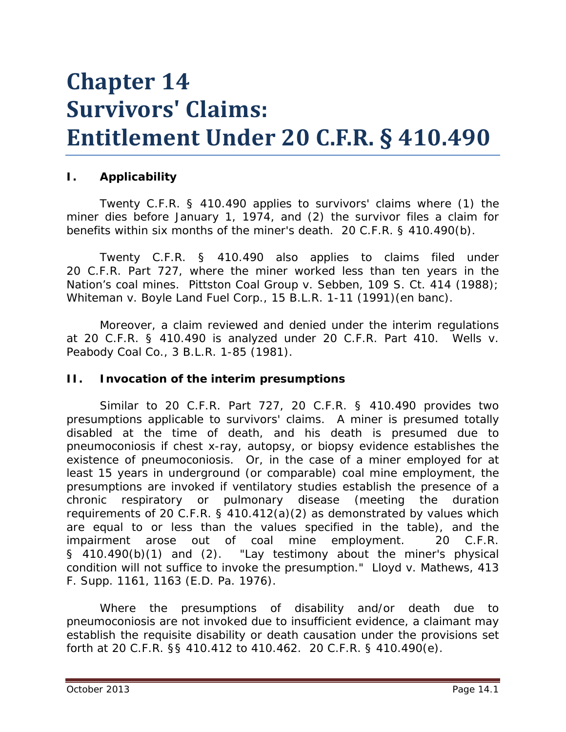# **Chapter 14 Survivors' Claims: Entitlement Under 20 C.F.R. § 410.490**

### **I. Applicability**

Twenty C.F.R. § 410.490 applies to survivors' claims where (1) the miner dies before January 1, 1974, and (2) the survivor files a claim for benefits within six months of the miner's death. 20 C.F.R. § 410.490(b).

Twenty C.F.R. § 410.490 also applies to claims filed under 20 C.F.R. Part 727, where the miner worked less than ten years in the Nation's coal mines. *Pittston Coal Group v. Sebben*, 109 S. Ct. 414 (1988); *Whiteman v. Boyle Land Fuel Corp.*, 15 B.L.R. 1-11 (1991)(*en banc*).

Moreover, a claim reviewed and denied under the interim regulations at 20 C.F.R. § 410.490 is analyzed under 20 C.F.R. Part 410. *Wells v. Peabody Coal Co.*, 3 B.L.R. 1-85 (1981).

### **II. Invocation of the interim presumptions**

Similar to 20 C.F.R. Part 727, 20 C.F.R. § 410.490 provides two presumptions applicable to survivors' claims. A miner is presumed totally disabled at the time of death, and his death is presumed due to pneumoconiosis if chest x-ray, autopsy, or biopsy evidence establishes the existence of pneumoconiosis. Or, in the case of a miner employed for at least 15 years in underground (or comparable) coal mine employment, the presumptions are invoked if ventilatory studies establish the presence of a chronic respiratory or pulmonary disease (meeting the duration requirements of 20 C.F.R. § 410.412(a)(2) as demonstrated by values which are equal to or less than the values specified in the table), and the impairment arose out of coal mine employment. 20 C.F.R. § 410.490(b)(1) and (2). "Lay testimony about the miner's physical condition will not suffice to invoke the presumption." *Lloyd v. Mathews,* 413 F. Supp. 1161, 1163 (E.D. Pa. 1976).

Where the presumptions of disability and/or death due to pneumoconiosis are not invoked due to insufficient evidence, a claimant may establish the requisite disability or death causation under the provisions set forth at 20 C.F.R. §§ 410.412 to 410.462. 20 C.F.R. § 410.490(e).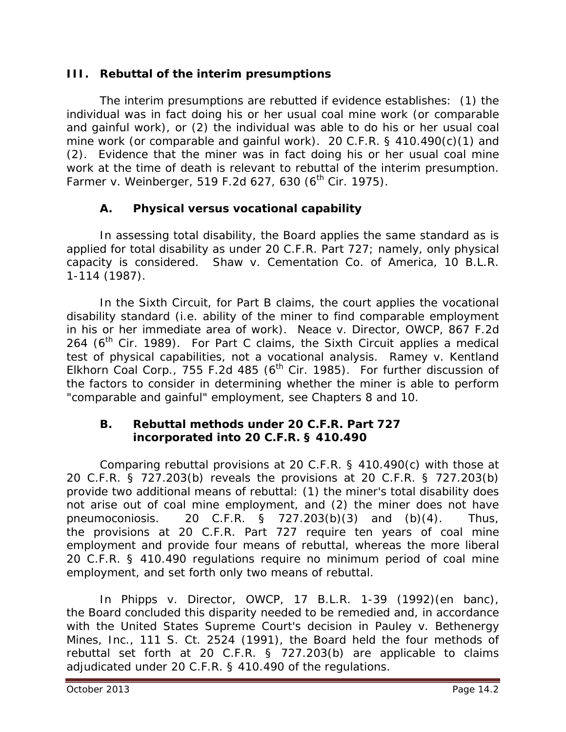## **III. Rebuttal of the interim presumptions**

The interim presumptions are rebutted if evidence establishes: (1) the individual was in fact doing his or her usual coal mine work (or comparable and gainful work), or (2) the individual was able to do his or her usual coal mine work (or comparable and gainful work). 20 C.F.R. § 410.490(c)(1) and (2). Evidence that the miner was in fact doing his or her usual coal mine work at the time of death is relevant to rebuttal of the interim presumption. *Farmer v. Weinberger*, 519 F.2d 627, 630 (6<sup>th</sup> Cir. 1975).

# **A. Physical versus vocational capability**

In assessing total disability, the Board applies the same standard as is applied for total disability as under 20 C.F.R. Part 727; namely, only physical capacity is considered. *Shaw v. Cementation Co. of America*, 10 B.L.R. 1-114 (1987).

In the Sixth Circuit, for Part B claims, the court applies the vocational disability standard (*i.e.* ability of the miner to find comparable employment in his or her immediate area of work). *Neace v. Director, OWCP*, 867 F.2d 264 ( $6<sup>th</sup>$  Cir. 1989). For Part C claims, the Sixth Circuit applies a medical test of physical capabilities, not a vocational analysis. *Ramey v. Kentland Elkhorn Coal Corp.*, 755 F.2d 485 (6<sup>th</sup> Cir. 1985). For further discussion of the factors to consider in determining whether the miner is able to perform "comparable and gainful" employment, *see* Chapters 8 and 10.

#### **B. Rebuttal methods under 20 C.F.R. Part 727 incorporated into 20 C.F.R. § 410.490**

Comparing rebuttal provisions at 20 C.F.R. § 410.490(c) with those at 20 C.F.R. § 727.203(b) reveals the provisions at 20 C.F.R. § 727.203(b) provide two additional means of rebuttal: (1) the miner's total disability does not arise out of coal mine employment, and (2) the miner does not have pneumoconiosis. 20 C.F.R. § 727.203(b)(3) and (b)(4). Thus, the provisions at 20 C.F.R. Part 727 require ten years of coal mine employment and provide four means of rebuttal, whereas the more liberal 20 C.F.R. § 410.490 regulations require no minimum period of coal mine employment, and set forth only two means of rebuttal.

In *Phipps v. Director, OWCP*, 17 B.L.R. 1-39 (1992)(en banc), the Board concluded this disparity needed to be remedied and, in accordance with the United States Supreme Court's decision in *Pauley v. Bethenergy Mines, Inc.*, 111 S. Ct. 2524 (1991), the Board held the four methods of rebuttal set forth at 20 C.F.R. § 727.203(b) are applicable to claims adjudicated under 20 C.F.R. § 410.490 of the regulations.